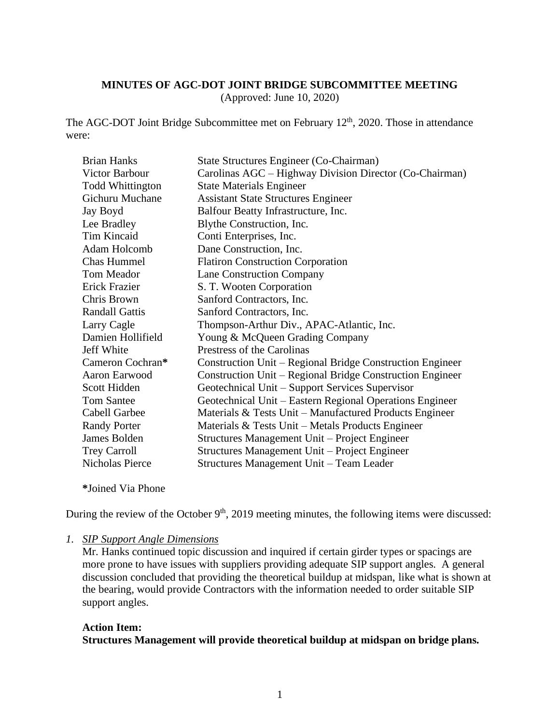#### **MINUTES OF AGC-DOT JOINT BRIDGE SUBCOMMITTEE MEETING**

(Approved: June 10, 2020)

The AGC-DOT Joint Bridge Subcommittee met on February 12<sup>th</sup>, 2020. Those in attendance were:

| <b>Brian Hanks</b>      | State Structures Engineer (Co-Chairman)                                 |
|-------------------------|-------------------------------------------------------------------------|
| Victor Barbour          | Carolinas AGC – Highway Division Director (Co-Chairman)                 |
| <b>Todd Whittington</b> | <b>State Materials Engineer</b>                                         |
| Gichuru Muchane         | <b>Assistant State Structures Engineer</b>                              |
| Jay Boyd                | Balfour Beatty Infrastructure, Inc.                                     |
| Lee Bradley             | Blythe Construction, Inc.                                               |
| Tim Kincaid             | Conti Enterprises, Inc.                                                 |
| Adam Holcomb            | Dane Construction, Inc.                                                 |
| <b>Chas Hummel</b>      | <b>Flatiron Construction Corporation</b>                                |
| Tom Meador              | <b>Lane Construction Company</b>                                        |
| <b>Erick Frazier</b>    | S. T. Wooten Corporation                                                |
| Chris Brown             | Sanford Contractors, Inc.                                               |
| <b>Randall Gattis</b>   | Sanford Contractors, Inc.                                               |
| Larry Cagle             | Thompson-Arthur Div., APAC-Atlantic, Inc.                               |
| Damien Hollifield       | Young & McQueen Grading Company                                         |
| Jeff White              | Prestress of the Carolinas                                              |
| Cameron Cochran*        | Construction Unit – Regional Bridge Construction Engineer               |
| Aaron Earwood           | Construction Unit – Regional Bridge Construction Engineer               |
| Scott Hidden            | Geotechnical Unit – Support Services Supervisor                         |
| <b>Tom Santee</b>       | Geotechnical Unit – Eastern Regional Operations Engineer                |
| Cabell Garbee           | Materials $& \text{Tests Unit} - \text{Mannfactured Products}$ Engineer |
| <b>Randy Porter</b>     | Materials & Tests Unit – Metals Products Engineer                       |
| James Bolden            | Structures Management Unit – Project Engineer                           |
| <b>Trey Carroll</b>     | Structures Management Unit – Project Engineer                           |
| Nicholas Pierce         | Structures Management Unit - Team Leader                                |

**\***Joined Via Phone

During the review of the October  $9<sup>th</sup>$ , 2019 meeting minutes, the following items were discussed:

#### *1. SIP Support Angle Dimensions*

Mr. Hanks continued topic discussion and inquired if certain girder types or spacings are more prone to have issues with suppliers providing adequate SIP support angles. A general discussion concluded that providing the theoretical buildup at midspan, like what is shown at the bearing, would provide Contractors with the information needed to order suitable SIP support angles.

#### **Action Item: Structures Management will provide theoretical buildup at midspan on bridge plans.**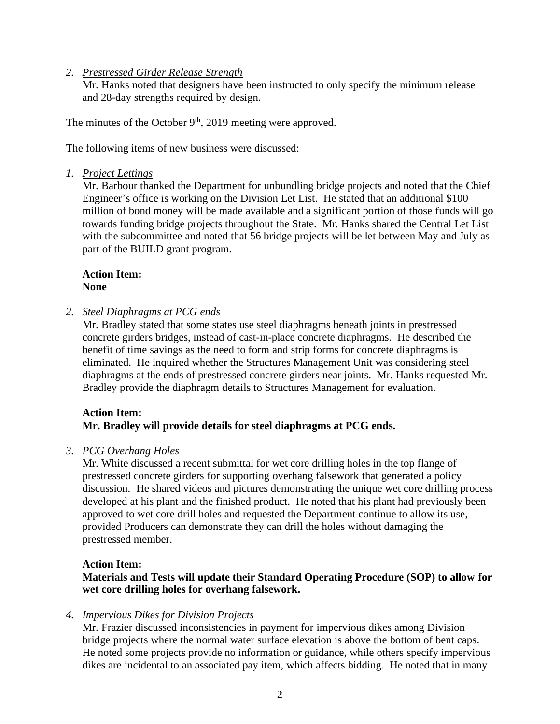#### *2. Prestressed Girder Release Strength*

Mr. Hanks noted that designers have been instructed to only specify the minimum release and 28-day strengths required by design.

The minutes of the October  $9<sup>th</sup>$ , 2019 meeting were approved.

The following items of new business were discussed:

### *1. Project Lettings*

Mr. Barbour thanked the Department for unbundling bridge projects and noted that the Chief Engineer's office is working on the Division Let List. He stated that an additional \$100 million of bond money will be made available and a significant portion of those funds will go towards funding bridge projects throughout the State. Mr. Hanks shared the Central Let List with the subcommittee and noted that 56 bridge projects will be let between May and July as part of the BUILD grant program.

#### **Action Item: None**

### *2. Steel Diaphragms at PCG ends*

Mr. Bradley stated that some states use steel diaphragms beneath joints in prestressed concrete girders bridges, instead of cast-in-place concrete diaphragms. He described the benefit of time savings as the need to form and strip forms for concrete diaphragms is eliminated. He inquired whether the Structures Management Unit was considering steel diaphragms at the ends of prestressed concrete girders near joints. Mr. Hanks requested Mr. Bradley provide the diaphragm details to Structures Management for evaluation.

## **Action Item: Mr. Bradley will provide details for steel diaphragms at PCG ends.**

#### *3. PCG Overhang Holes*

Mr. White discussed a recent submittal for wet core drilling holes in the top flange of prestressed concrete girders for supporting overhang falsework that generated a policy discussion. He shared videos and pictures demonstrating the unique wet core drilling process developed at his plant and the finished product. He noted that his plant had previously been approved to wet core drill holes and requested the Department continue to allow its use, provided Producers can demonstrate they can drill the holes without damaging the prestressed member.

#### **Action Item:**

## **Materials and Tests will update their Standard Operating Procedure (SOP) to allow for wet core drilling holes for overhang falsework.**

## *4. Impervious Dikes for Division Projects*

Mr. Frazier discussed inconsistencies in payment for impervious dikes among Division bridge projects where the normal water surface elevation is above the bottom of bent caps. He noted some projects provide no information or guidance, while others specify impervious dikes are incidental to an associated pay item, which affects bidding. He noted that in many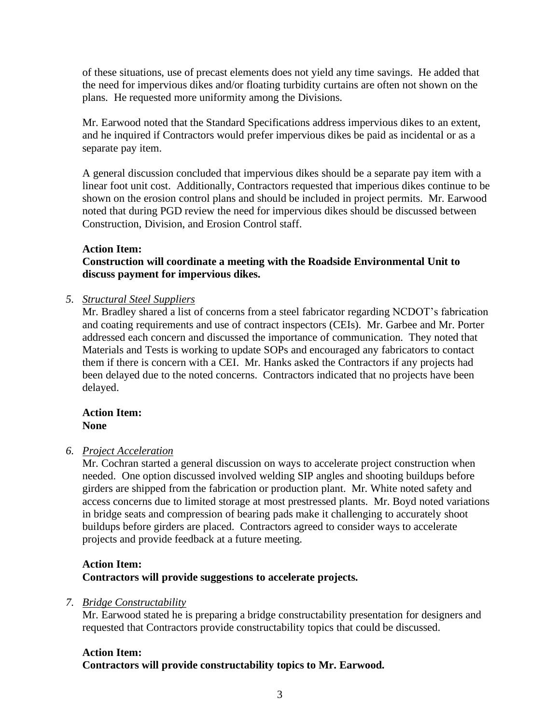of these situations, use of precast elements does not yield any time savings. He added that the need for impervious dikes and/or floating turbidity curtains are often not shown on the plans. He requested more uniformity among the Divisions.

Mr. Earwood noted that the Standard Specifications address impervious dikes to an extent, and he inquired if Contractors would prefer impervious dikes be paid as incidental or as a separate pay item.

A general discussion concluded that impervious dikes should be a separate pay item with a linear foot unit cost. Additionally, Contractors requested that imperious dikes continue to be shown on the erosion control plans and should be included in project permits. Mr. Earwood noted that during PGD review the need for impervious dikes should be discussed between Construction, Division, and Erosion Control staff.

### **Action Item:**

### **Construction will coordinate a meeting with the Roadside Environmental Unit to discuss payment for impervious dikes.**

### *5. Structural Steel Suppliers*

Mr. Bradley shared a list of concerns from a steel fabricator regarding NCDOT's fabrication and coating requirements and use of contract inspectors (CEIs). Mr. Garbee and Mr. Porter addressed each concern and discussed the importance of communication. They noted that Materials and Tests is working to update SOPs and encouraged any fabricators to contact them if there is concern with a CEI. Mr. Hanks asked the Contractors if any projects had been delayed due to the noted concerns. Contractors indicated that no projects have been delayed.

### **Action Item: None**

## *6. Project Acceleration*

Mr. Cochran started a general discussion on ways to accelerate project construction when needed. One option discussed involved welding SIP angles and shooting buildups before girders are shipped from the fabrication or production plant. Mr. White noted safety and access concerns due to limited storage at most prestressed plants. Mr. Boyd noted variations in bridge seats and compression of bearing pads make it challenging to accurately shoot buildups before girders are placed. Contractors agreed to consider ways to accelerate projects and provide feedback at a future meeting.

# **Action Item: Contractors will provide suggestions to accelerate projects.**

## *7. Bridge Constructability*

Mr. Earwood stated he is preparing a bridge constructability presentation for designers and requested that Contractors provide constructability topics that could be discussed.

# **Action Item: Contractors will provide constructability topics to Mr. Earwood.**